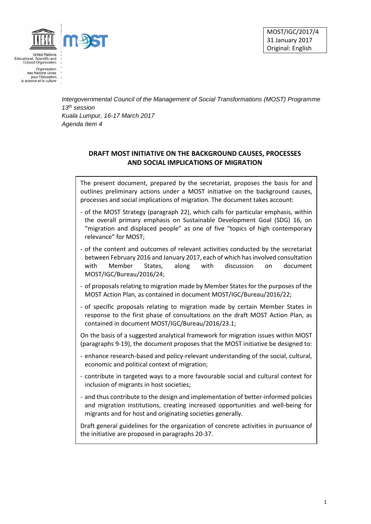

**United Nations** Educational, Scientific and Cultural Organization

MOST/IGC/2017/4 31 January 2017 Original: English

Organisation<br>des Nations Unies<br>pour l'éducation, la science et la culture

> *Intergovernmental Council of the Management of Social Transformations (MOST) Programme 13th session Kuala Lumpur, 16-17 March 2017 Agenda Item 4*

## **DRAFT MOST INITIATIVE ON THE BACKGROUND CAUSES, PROCESSES AND SOCIAL IMPLICATIONS OF MIGRATION**

The present document, prepared by the secretariat, proposes the basis for and outlines preliminary actions under a MOST initiative on the background causes, processes and social implications of migration. The document takes account:

- of the MOST Strategy (paragraph 22), which calls for particular emphasis, within the overall primary emphasis on Sustainable Development Goal (SDG) 16, on "migration and displaced people" as one of five "topics of high contemporary relevance" for MOST;
- of the content and outcomes of relevant activities conducted by the secretariat between February 2016 and January 2017, each of which has involved consultation with Member States, along with discussion on document MOST/IGC/Bureau/2016/24;
- of proposals relating to migration made by Member States for the purposes of the MOST Action Plan, as contained in document MOST/IGC/Bureau/2016/22;
- of specific proposals relating to migration made by certain Member States in response to the first phase of consultations on the draft MOST Action Plan, as contained in document MOST/IGC/Bureau/2016/23.1;

On the basis of a suggested analytical framework for migration issues within MOST (paragraphs 9-19), the document proposes that the MOST initiative be designed to:

- enhance research-based and policy-relevant understanding of the social, cultural, economic and political context of migration;
- contribute in targeted ways to a more favourable social and cultural context for inclusion of migrants in host societies;
- and thus contribute to the design and implementation of better-informed policies and migration institutions, creating increased opportunities and well-being for migrants and for host and originating societies generally.

Draft general guidelines for the organization of concrete activities in pursuance of the initiative are proposed in paragraphs 20-37.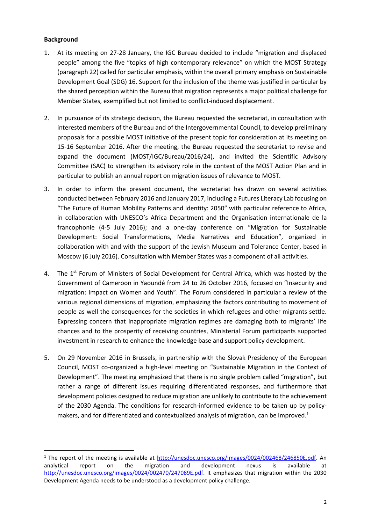## **Background**

**.** 

- 1. At its meeting on 27-28 January, the IGC Bureau decided to include "migration and displaced people" among the five "topics of high contemporary relevance" on which the MOST Strategy (paragraph 22) called for particular emphasis, within the overall primary emphasis on Sustainable Development Goal (SDG) 16. Support for the inclusion of the theme was justified in particular by the shared perception within the Bureau that migration represents a major political challenge for Member States, exemplified but not limited to conflict-induced displacement.
- 2. In pursuance of its strategic decision, the Bureau requested the secretariat, in consultation with interested members of the Bureau and of the Intergovernmental Council, to develop preliminary proposals for a possible MOST initiative of the present topic for consideration at its meeting on 15-16 September 2016. After the meeting, the Bureau requested the secretariat to revise and expand the document (MOST/IGC/Bureau/2016/24), and invited the Scientific Advisory Committee (SAC) to strengthen its advisory role in the context of the MOST Action Plan and in particular to publish an annual report on migration issues of relevance to MOST.
- 3. In order to inform the present document, the secretariat has drawn on several activities conducted between February 2016 and January 2017, including a Futures Literacy Lab focusing on "The Future of Human Mobility Patterns and Identity: 2050" with particular reference to Africa, in collaboration with UNESCO's Africa Department and the Organisation internationale de la francophonie (4-5 July 2016); and a one-day conference on "Migration for Sustainable Development: Social Transformations, Media Narratives and Education", organized in collaboration with and with the support of the Jewish Museum and Tolerance Center, based in Moscow (6 July 2016). Consultation with Member States was a component of all activities.
- 4. The 1<sup>st</sup> Forum of Ministers of Social Development for Central Africa, which was hosted by the Government of Cameroon in Yaoundé from 24 to 26 October 2016, focused on "Insecurity and migration: Impact on Women and Youth". The Forum considered in particular a review of the various regional dimensions of migration, emphasizing the factors contributing to movement of people as well the consequences for the societies in which refugees and other migrants settle. Expressing concern that inappropriate migration regimes are damaging both to migrants' life chances and to the prosperity of receiving countries, Ministerial Forum participants supported investment in research to enhance the knowledge base and support policy development.
- 5. On 29 November 2016 in Brussels, in partnership with the Slovak Presidency of the European Council, MOST co-organized a high-level meeting on "Sustainable Migration in the Context of Development". The meeting emphasized that there is no single problem called "migration", but rather a range of different issues requiring differentiated responses, and furthermore that development policies designed to reduce migration are unlikely to contribute to the achievement of the 2030 Agenda. The conditions for research-informed evidence to be taken up by policymakers, and for differentiated and contextualized analysis of migration, can be improved.<sup>1</sup>

<sup>&</sup>lt;sup>1</sup> The report of the meeting is available at [http://unesdoc.unesco.org/images/0024/002468/246850E.pdf.](http://unesdoc.unesco.org/images/0024/002468/246850E.pdf) An analytical report on the migration and development nexus is available at [http://unesdoc.unesco.org/images/0024/002470/247089E.pdf.](http://unesdoc.unesco.org/images/0024/002470/247089E.pdf) It emphasizes that migration within the 2030 Development Agenda needs to be understood as a development policy challenge.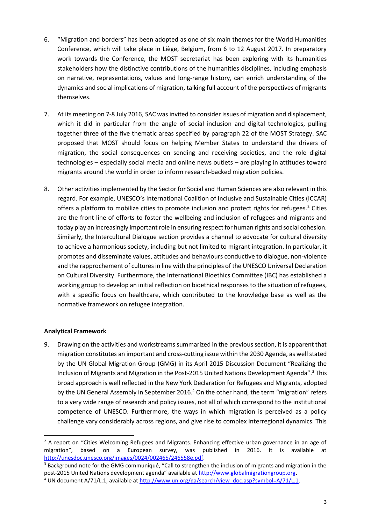- 6. "Migration and borders" has been adopted as one of six main themes for the World Humanities Conference, which will take place in Liège, Belgium, from 6 to 12 August 2017. In preparatory work towards the Conference, the MOST secretariat has been exploring with its humanities stakeholders how the distinctive contributions of the humanities disciplines, including emphasis on narrative, representations, values and long-range history, can enrich understanding of the dynamics and social implications of migration, talking full account of the perspectives of migrants themselves.
- 7. At its meeting on 7-8 July 2016, SAC was invited to consider issues of migration and displacement, which it did in particular from the angle of social inclusion and digital technologies, pulling together three of the five thematic areas specified by paragraph 22 of the MOST Strategy. SAC proposed that MOST should focus on helping Member States to understand the drivers of migration, the social consequences on sending and receiving societies, and the role digital technologies – especially social media and online news outlets – are playing in attitudes toward migrants around the world in order to inform research-backed migration policies.
- 8. Other activities implemented by the Sector for Social and Human Sciences are also relevant in this regard. For example, UNESCO's International Coalition of Inclusive and Sustainable Cities (ICCAR) offers a platform to mobilize cities to promote inclusion and protect rights for refugees.<sup>2</sup> Cities are the front line of efforts to foster the wellbeing and inclusion of refugees and migrants and today play an increasingly important role in ensuring respect for human rights and social cohesion. Similarly, the Intercultural Dialogue section provides a channel to advocate for cultural diversity to achieve a harmonious society, including but not limited to migrant integration. In particular, it promotes and disseminate values, attitudes and behaviours conductive to dialogue, non-violence and the rapprochement of cultures in line with the principles of the UNESCO Universal Declaration on Cultural Diversity. Furthermore, the International Bioethics Committee (IBC) has established a working group to develop an initial reflection on bioethical responses to the situation of refugees, with a specific focus on healthcare, which contributed to the knowledge base as well as the normative framework on refugee integration.

## **Analytical Framework**

**.** 

9. Drawing on the activities and workstreams summarized in the previous section, it is apparent that migration constitutes an important and cross-cutting issue within the 2030 Agenda, as well stated by the UN Global Migration Group (GMG) in its April 2015 Discussion Document "Realizing the Inclusion of Migrants and Migration in the Post-2015 United Nations Development Agenda". <sup>3</sup> This broad approach is well reflected in the New York Declaration for Refugees and Migrants, adopted by the UN General Assembly in September 2016.<sup>4</sup> On the other hand, the term "migration" refers to a very wide range of research and policy issues, not all of which correspond to the institutional competence of UNESCO. Furthermore, the ways in which migration is perceived as a policy challenge vary considerably across regions, and give rise to complex interregional dynamics. This

<sup>&</sup>lt;sup>2</sup> A report on "Cities Welcoming Refugees and Migrants. Enhancing effective urban governance in an age of migration", based on a European survey, was published in 2016. It is available at [http://unesdoc.unesco.org/images/0024/002465/246558e.pdf.](http://unesdoc.unesco.org/images/0024/002465/246558e.pdf)

<sup>&</sup>lt;sup>3</sup> Background note for the GMG communiqué, "Call to strengthen the inclusion of migrants and migration in the post-2015 United Nations development agenda" available at [http://www.globalmigrationgroup.org.](http://www.globalmigrationgroup.org/)

<sup>&</sup>lt;sup>4</sup> UN document A/71/L.1, available at [http://www.un.org/ga/search/view\\_doc.asp?symbol=A/71/L.1.](http://www.un.org/ga/search/view_doc.asp?symbol=A/71/L.1)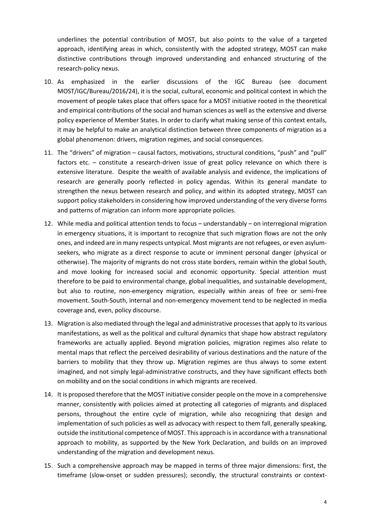underlines the potential contribution of MOST, but also points to the value of a targeted approach, identifying areas in which, consistently with the adopted strategy, MOST can make distinctive contributions through improved understanding and enhanced structuring of the research-policy nexus.

- 10. As emphasized in the earlier discussions of the IGC Bureau (see document MOST/IGC/Bureau/2016/24), it is the social, cultural, economic and political context in which the movement of people takes place that offers space for a MOST initiative rooted in the theoretical and empirical contributions of the social and human sciences as well as the extensive and diverse policy experience of Member States. In order to clarify what making sense of this context entails, it may be helpful to make an analytical distinction between three components of migration as a global phenomenon: drivers, migration regimes, and social consequences.
- 11. The "drivers" of migration causal factors, motivations, structural conditions, "push" and "pull" factors etc. – constitute a research-driven issue of great policy relevance on which there is extensive literature. Despite the wealth of available analysis and evidence, the implications of research are generally poorly reflected in policy agendas. Within its general mandate to strengthen the nexus between research and policy, and within its adopted strategy, MOST can support policy stakeholders in considering how improved understanding of the very diverse forms and patterns of migration can inform more appropriate policies.
- 12. While media and political attention tends to focus understandably on interregional migration in emergency situations, it is important to recognize that such migration flows are not the only ones, and indeed are in many respects untypical. Most migrants are not refugees, or even asylumseekers, who migrate as a direct response to acute or imminent personal danger (physical or otherwise). The majority of migrants do not cross state borders, remain within the global South, and move looking for increased social and economic opportunity. Special attention must therefore to be paid to environmental change, global inequalities, and sustainable development, but also to routine, non-emergency migration, especially within areas of free or semi-free movement. South-South, internal and non-emergency movement tend to be neglected in media coverage and, even, policy discourse.
- 13. Migration is also mediated through the legal and administrative processes that apply to its various manifestations, as well as the political and cultural dynamics that shape how abstract regulatory frameworks are actually applied. Beyond migration policies, migration regimes also relate to mental maps that reflect the perceived desirability of various destinations and the nature of the barriers to mobility that they throw up. Migration regimes are thus always to some extent imagined, and not simply legal-administrative constructs, and they have significant effects both on mobility and on the social conditions in which migrants are received.
- 14. It is proposed therefore that the MOST initiative consider people on the move in a comprehensive manner, consistently with policies aimed at protecting all categories of migrants and displaced persons, throughout the entire cycle of migration, while also recognizing that design and implementation of such policies as well as advocacy with respect to them fall, generally speaking, outside the institutional competence of MOST. This approach is in accordance with a transnational approach to mobility, as supported by the New York Declaration, and builds on an improved understanding of the migration and development nexus.
- 15. Such a comprehensive approach may be mapped in terms of three major dimensions: first, the timeframe (slow-onset or sudden pressures); secondly, the structural constraints or context-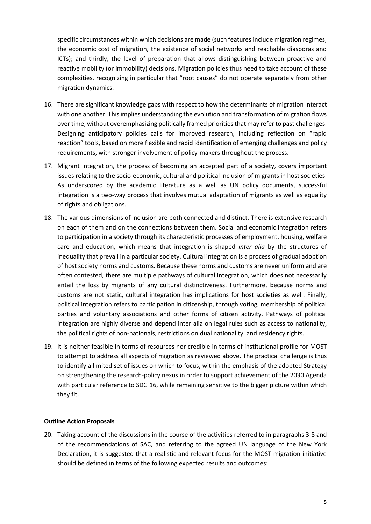specific circumstances within which decisions are made (such features include migration regimes, the economic cost of migration, the existence of social networks and reachable diasporas and ICTs); and thirdly, the level of preparation that allows distinguishing between proactive and reactive mobility (or immobility) decisions. Migration policies thus need to take account of these complexities, recognizing in particular that "root causes" do not operate separately from other migration dynamics.

- 16. There are significant knowledge gaps with respect to how the determinants of migration interact with one another. This implies understanding the evolution and transformation of migration flows over time, without overemphasizing politically framed priorities that may refer to past challenges. Designing anticipatory policies calls for improved research, including reflection on "rapid reaction" tools, based on more flexible and rapid identification of emerging challenges and policy requirements, with stronger involvement of policy-makers throughout the process.
- 17. Migrant integration, the process of becoming an accepted part of a society, covers important issues relating to the socio-economic, cultural and political inclusion of migrants in host societies. As underscored by the academic literature as a well as UN policy documents, successful integration is a two-way process that involves mutual adaptation of migrants as well as equality of rights and obligations.
- 18. The various dimensions of inclusion are both connected and distinct. There is extensive research on each of them and on the connections between them. Social and economic integration refers to participation in a society through its characteristic processes of employment, housing, welfare care and education, which means that integration is shaped *inter alia* by the structures of inequality that prevail in a particular society. Cultural integration is a process of gradual adoption of host society norms and customs. Because these norms and customs are never uniform and are often contested, there are multiple pathways of cultural integration, which does not necessarily entail the loss by migrants of any cultural distinctiveness. Furthermore, because norms and customs are not static, cultural integration has implications for host societies as well. Finally, political integration refers to participation in citizenship, through voting, membership of political parties and voluntary associations and other forms of citizen activity. Pathways of political integration are highly diverse and depend inter alia on legal rules such as access to nationality, the political rights of non-nationals, restrictions on dual nationality, and residency rights.
- 19. It is neither feasible in terms of resources nor credible in terms of institutional profile for MOST to attempt to address all aspects of migration as reviewed above. The practical challenge is thus to identify a limited set of issues on which to focus, within the emphasis of the adopted Strategy on strengthening the research-policy nexus in order to support achievement of the 2030 Agenda with particular reference to SDG 16, while remaining sensitive to the bigger picture within which they fit.

## **Outline Action Proposals**

20. Taking account of the discussions in the course of the activities referred to in paragraphs 3-8 and of the recommendations of SAC, and referring to the agreed UN language of the New York Declaration, it is suggested that a realistic and relevant focus for the MOST migration initiative should be defined in terms of the following expected results and outcomes: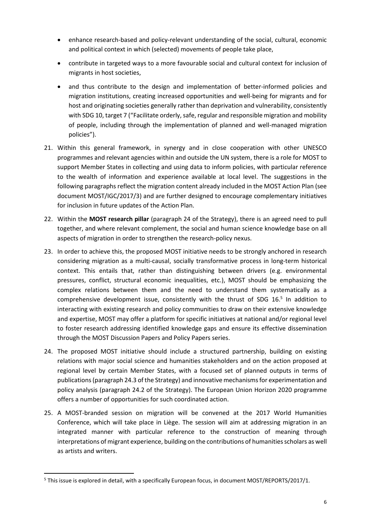- enhance research-based and policy-relevant understanding of the social, cultural, economic and political context in which (selected) movements of people take place,
- contribute in targeted ways to a more favourable social and cultural context for inclusion of migrants in host societies,
- and thus contribute to the design and implementation of better-informed policies and migration institutions, creating increased opportunities and well-being for migrants and for host and originating societies generally rather than deprivation and vulnerability, consistently with SDG 10, target 7 ("Facilitate orderly, safe, regular and responsible migration and mobility of people, including through the implementation of planned and well-managed migration policies").
- 21. Within this general framework, in synergy and in close cooperation with other UNESCO programmes and relevant agencies within and outside the UN system, there is a role for MOST to support Member States in collecting and using data to inform policies, with particular reference to the wealth of information and experience available at local level. The suggestions in the following paragraphs reflect the migration content already included in the MOST Action Plan (see document MOST/IGC/2017/3) and are further designed to encourage complementary initiatives for inclusion in future updates of the Action Plan.
- 22. Within the **MOST research pillar** (paragraph 24 of the Strategy), there is an agreed need to pull together, and where relevant complement, the social and human science knowledge base on all aspects of migration in order to strengthen the research-policy nexus.
- 23. In order to achieve this, the proposed MOST initiative needs to be strongly anchored in research considering migration as a multi-causal, socially transformative process in long-term historical context. This entails that, rather than distinguishing between drivers (e.g. environmental pressures, conflict, structural economic inequalities, etc.), MOST should be emphasizing the complex relations between them and the need to understand them systematically as a comprehensive development issue, consistently with the thrust of SDG 16.<sup>5</sup> In addition to interacting with existing research and policy communities to draw on their extensive knowledge and expertise, MOST may offer a platform for specific initiatives at national and/or regional level to foster research addressing identified knowledge gaps and ensure its effective dissemination through the MOST Discussion Papers and Policy Papers series.
- 24. The proposed MOST initiative should include a structured partnership, building on existing relations with major social science and humanities stakeholders and on the action proposed at regional level by certain Member States, with a focused set of planned outputs in terms of publications(paragraph 24.3 of the Strategy) and innovative mechanisms for experimentation and policy analysis (paragraph 24.2 of the Strategy). The European Union Horizon 2020 programme offers a number of opportunities for such coordinated action.
- 25. A MOST-branded session on migration will be convened at the 2017 World Humanities Conference, which will take place in Liège. The session will aim at addressing migration in an integrated manner with particular reference to the construction of meaning through interpretations of migrant experience, building on the contributions of humanities scholars as well as artists and writers.

**.** 

<sup>5</sup> This issue is explored in detail, with a specifically European focus, in document MOST/REPORTS/2017/1.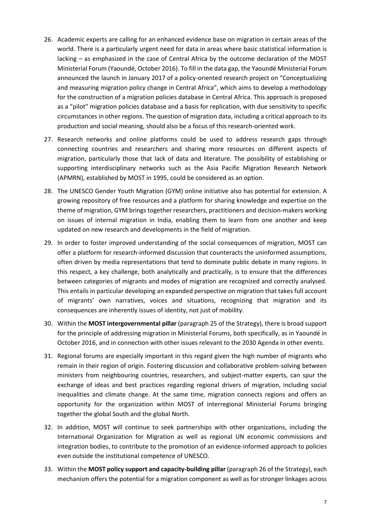- 26. Academic experts are calling for an enhanced evidence base on migration in certain areas of the world. There is a particularly urgent need for data in areas where basic statistical information is lacking – as emphasized in the case of Central Africa by the outcome declaration of the MOST Ministerial Forum (Yaoundé, October 2016). To fill in the data gap, the Yaoundé Ministerial Forum announced the launch in January 2017 of a policy-oriented research project on "Conceptualizing and measuring migration policy change in Central Africa", which aims to develop a methodology for the construction of a migration policies database in Central Africa. This approach is proposed as a "pilot" migration policies database and a basis for replication, with due sensitivity to specific circumstances in other regions. The question of migration data, including a critical approach to its production and social meaning, should also be a focus of this research-oriented work.
- 27. Research networks and online platforms could be used to address research gaps through connecting countries and researchers and sharing more resources on different aspects of migration, particularly those that lack of data and literature. The possibility of establishing or supporting interdisciplinary networks such as the Asia Pacific Migration Research Network (APMRN), established by MOST in 1995, could be considered as an option.
- 28. The UNESCO Gender Youth Migration (GYM) online initiative also has potential for extension. A growing repository of free resources and a platform for sharing knowledge and expertise on the theme of migration, GYM brings together researchers, practitioners and decision-makers working on issues of internal migration in India, enabling them to learn from one another and keep updated on new research and developments in the field of migration.
- 29. In order to foster improved understanding of the social consequences of migration, MOST can offer a platform for research-informed discussion that counteracts the uninformed assumptions, often driven by media representations that tend to dominate public debate in many regions. In this respect, a key challenge, both analytically and practically, is to ensure that the differences between categories of migrants and modes of migration are recognized and correctly analysed. This entails in particular developing an expanded perspective on migration that takes full account of migrants' own narratives, voices and situations, recognizing that migration and its consequences are inherently issues of identity, not just of mobility.
- 30. Within the **MOST intergovernmental pillar** (paragraph 25 of the Strategy), there is broad support for the principle of addressing migration in Ministerial Forums, both specifically, as in Yaoundé in October 2016, and in connection with other issues relevant to the 2030 Agenda in other events.
- 31. Regional forums are especially important in this regard given the high number of migrants who remain in their region of origin. Fostering discussion and collaborative problem-solving between ministers from neighbouring countries, researchers, and subject-matter experts, can spur the exchange of ideas and best practices regarding regional drivers of migration, including social inequalities and climate change. At the same time, migration connects regions and offers an opportunity for the organization within MOST of interregional Ministerial Forums bringing together the global South and the global North.
- 32. In addition, MOST will continue to seek partnerships with other organizations, including the International Organization for Migration as well as regional UN economic commissions and integration bodies, to contribute to the promotion of an evidence-informed approach to policies even outside the institutional competence of UNESCO.
- 33. Within the **MOST policy support and capacity-building pillar** (paragraph 26 of the Strategy), each mechanism offers the potential for a migration component as well as for stronger linkages across